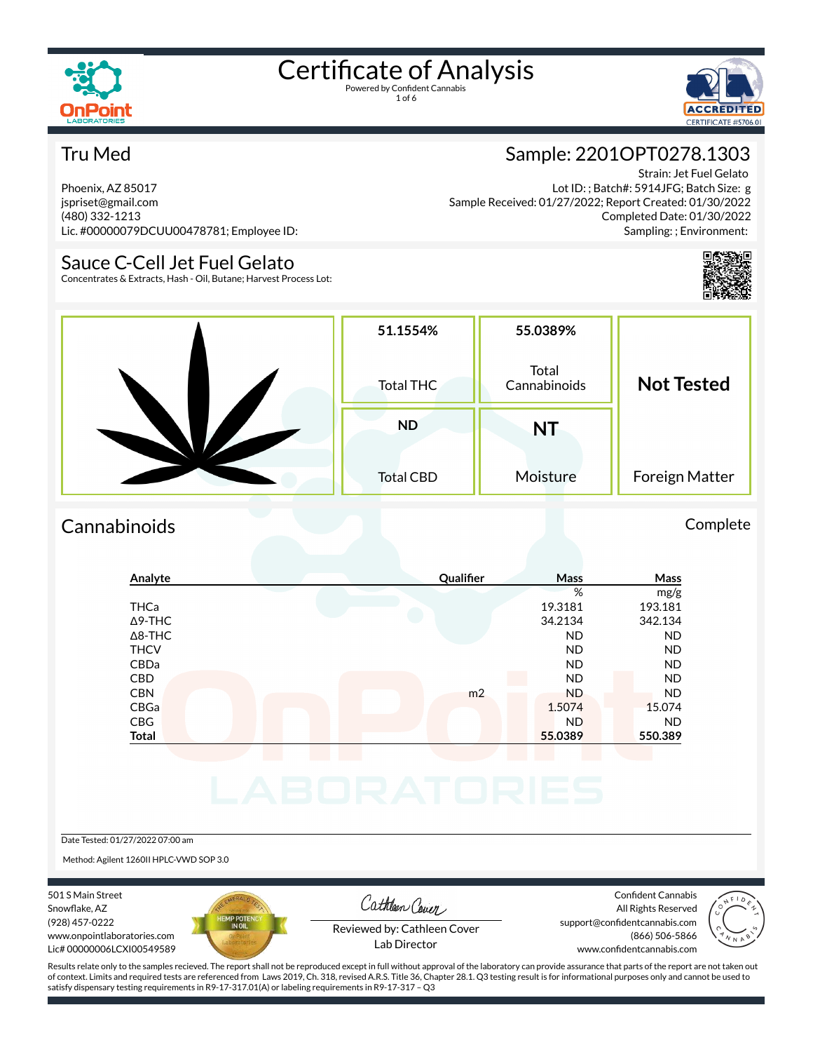



#### Tru Med

Phoenix, AZ 85017 jspriset@gmail.com (480) 332-1213 Lic. #00000079DCUU00478781; Employee ID:

#### Sauce C-Cell Jet Fuel Gelato

Concentrates & Extracts, Hash - Oil, Butane; Harvest Process Lot:

### Sample: 2201OPT0278.1303

Strain: Jet Fuel Gelato Lot ID: ; Batch#: 5914JFG; Batch Size: g Sample Received: 01/27/2022; Report Created: 01/30/2022 Completed Date: 01/30/2022 Sampling: ; Environment:



| 51.1554%<br><b>Total THC</b>  | 55.0389%<br>Total<br>Cannabinoids | <b>Not Tested</b> |  |
|-------------------------------|-----------------------------------|-------------------|--|
| <b>ND</b><br><b>Total CBD</b> | <b>NT</b><br>Moisture             | Foreign Matter    |  |

#### Cannabinoids Complete

|                                                                        |                | %<br>19.3181<br>34.2134<br><b>ND</b><br><b>ND</b> | mg/g<br>193.181<br>342.134<br><b>ND</b> |
|------------------------------------------------------------------------|----------------|---------------------------------------------------|-----------------------------------------|
| <b>THCa</b><br>$\Delta$ 9-THC<br>$\Delta$ 8-THC<br><b>THCV</b><br>CBDa |                |                                                   |                                         |
|                                                                        |                |                                                   |                                         |
|                                                                        |                |                                                   |                                         |
|                                                                        |                |                                                   |                                         |
|                                                                        |                |                                                   | <b>ND</b>                               |
|                                                                        |                | <b>ND</b>                                         | <b>ND</b>                               |
| CBD                                                                    |                | <b>ND</b>                                         | <b>ND</b>                               |
| <b>CBN</b>                                                             | m <sub>2</sub> | <b>ND</b>                                         | <b>ND</b>                               |
| CBGa                                                                   |                | 1.5074                                            | 15.074                                  |
| <b>CBG</b>                                                             |                | <b>ND</b>                                         | <b>ND</b>                               |
|                                                                        |                | 55.0389                                           | 550.389                                 |
| <b>Total</b>                                                           |                |                                                   |                                         |

#### Date Tested: 01/27/2022 07:00 am

Method: Agilent 1260II HPLC-VWD SOP 3.0

501 S Main Street Snowflake, AZ (928) 457-0222 www.onpointlaboratories.com Lic# 00000006LCXI00549589



Cathleen Cover

Confident Cannabis All Rights Reserved support@confidentcannabis.com (866) 506-5866



Reviewed by: Cathleen Cover Lab Director

www.confidentcannabis.com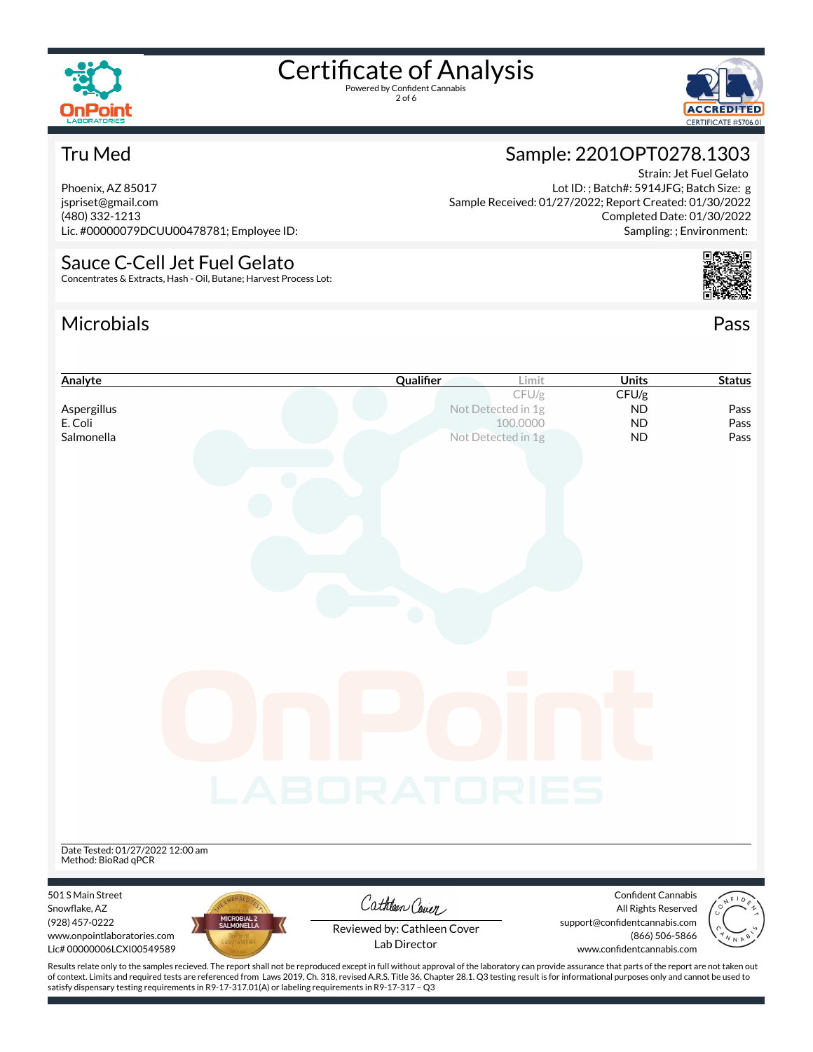

2 of 6



Strain: Jet Fuel Gelato

Completed Date: 01/30/2022 Sampling: ; Environment:

Sample: 2201OPT0278.1303

Sample Received: 01/27/2022; Report Created: 01/30/2022

Lot ID: ; Batch#: 5914JFG; Batch Size: g

#### Tru Med

Phoenix, AZ 85017 jspriset@gmail.com (480) 332-1213 Lic. #00000079DCUU00478781; Employee ID:

#### Sauce C-Cell Jet Fuel Gelato Concentrates & Extracts, Hash - Oil, Butane; Harvest Process Lot:

#### Microbials Pass



| Analyte                                                                                                                                                                                            | Qualifier                   | Limit    | <b>Units</b>                                         | <b>Status</b> |
|----------------------------------------------------------------------------------------------------------------------------------------------------------------------------------------------------|-----------------------------|----------|------------------------------------------------------|---------------|
|                                                                                                                                                                                                    |                             | CFU/g    | CFU/g                                                |               |
| Aspergillus<br>E. Coli                                                                                                                                                                             | Not Detected in 1g          | 100.0000 | <b>ND</b><br><b>ND</b>                               | Pass<br>Pass  |
| Salmonella                                                                                                                                                                                         | Not Detected in 1g          |          | <b>ND</b>                                            | Pass          |
|                                                                                                                                                                                                    |                             |          |                                                      |               |
|                                                                                                                                                                                                    |                             |          |                                                      |               |
|                                                                                                                                                                                                    |                             |          |                                                      |               |
|                                                                                                                                                                                                    |                             |          |                                                      |               |
|                                                                                                                                                                                                    |                             |          |                                                      |               |
|                                                                                                                                                                                                    |                             |          |                                                      |               |
|                                                                                                                                                                                                    |                             |          |                                                      |               |
|                                                                                                                                                                                                    |                             |          |                                                      |               |
|                                                                                                                                                                                                    |                             |          |                                                      |               |
|                                                                                                                                                                                                    |                             |          |                                                      |               |
|                                                                                                                                                                                                    |                             |          |                                                      |               |
|                                                                                                                                                                                                    |                             |          |                                                      |               |
|                                                                                                                                                                                                    |                             |          |                                                      |               |
|                                                                                                                                                                                                    |                             |          |                                                      |               |
|                                                                                                                                                                                                    |                             |          |                                                      |               |
|                                                                                                                                                                                                    |                             |          |                                                      |               |
|                                                                                                                                                                                                    |                             |          |                                                      |               |
|                                                                                                                                                                                                    |                             |          |                                                      |               |
|                                                                                                                                                                                                    | <b>LABORATORIES</b>         |          |                                                      |               |
|                                                                                                                                                                                                    |                             |          |                                                      |               |
|                                                                                                                                                                                                    |                             |          |                                                      |               |
|                                                                                                                                                                                                    |                             |          |                                                      |               |
| Date Tested: 01/27/2022 12:00 am<br>Method: BioRad qPCR                                                                                                                                            |                             |          |                                                      |               |
|                                                                                                                                                                                                    |                             |          |                                                      |               |
| 501 S Main Street                                                                                                                                                                                  | Cathleen Cover              |          | Confident Cannabis                                   |               |
| Snowflake, AZ<br>MICROBIAL 2<br>SALMONELLA<br>(928) 457-0222                                                                                                                                       |                             |          | All Rights Reserved<br>support@confidentcannabis.com |               |
| www.onpointlaboratories.com                                                                                                                                                                        | Reviewed by: Cathleen Cover |          | (866) 506-5866                                       |               |
| Lic#00000006LCXI00549589                                                                                                                                                                           | Lab Director                |          | www.confidentcannabis.com                            |               |
| Results relate only to the samples recieved. The report shall not be reproduced except in full without approval of the laboratory can provide assurance that parts of the report are not taken out |                             |          |                                                      |               |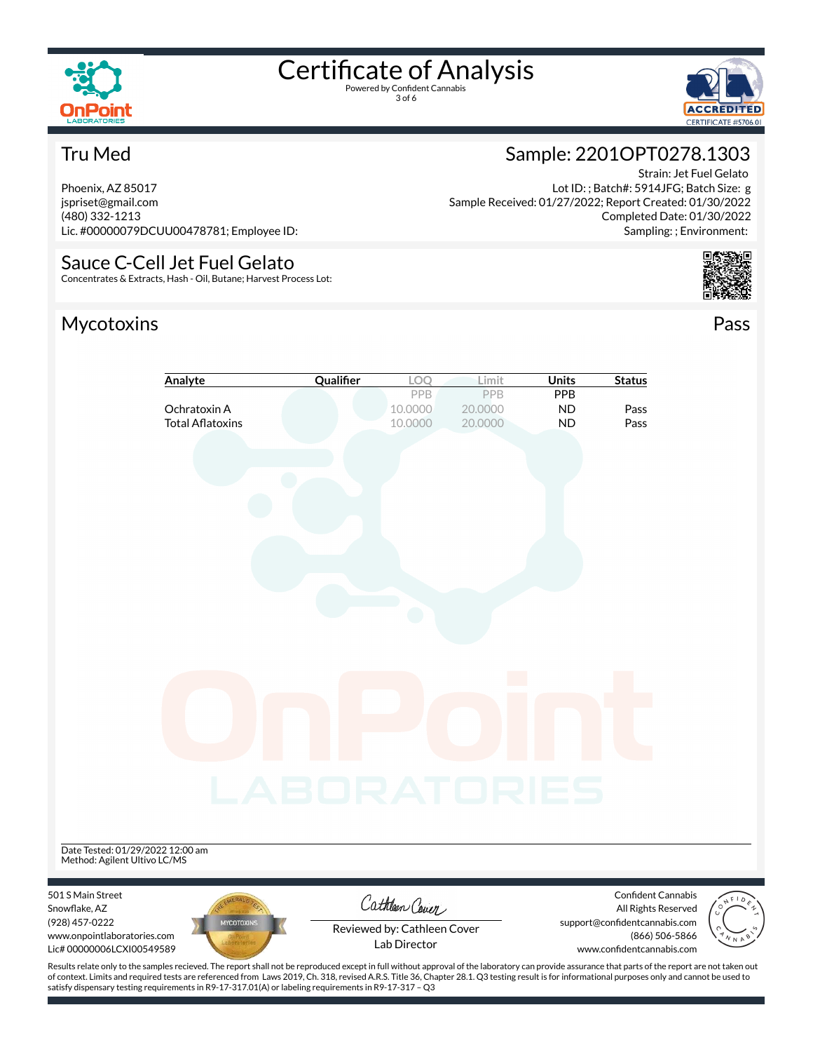

3 of 6



#### Tru Med

Phoenix, AZ 85017 jspriset@gmail.com (480) 332-1213 Lic. #00000079DCUU00478781; Employee ID:

### Sauce C-Cell Jet Fuel Gelato

Concentrates & Extracts, Hash - Oil, Butane; Harvest Process Lot:

### Mycotoxins Pass



Lot ID: ; Batch#: 5914JFG; Batch Size: g Sample Received: 01/27/2022; Report Created: 01/30/2022 Completed Date: 01/30/2022 Sampling: ; Environment:



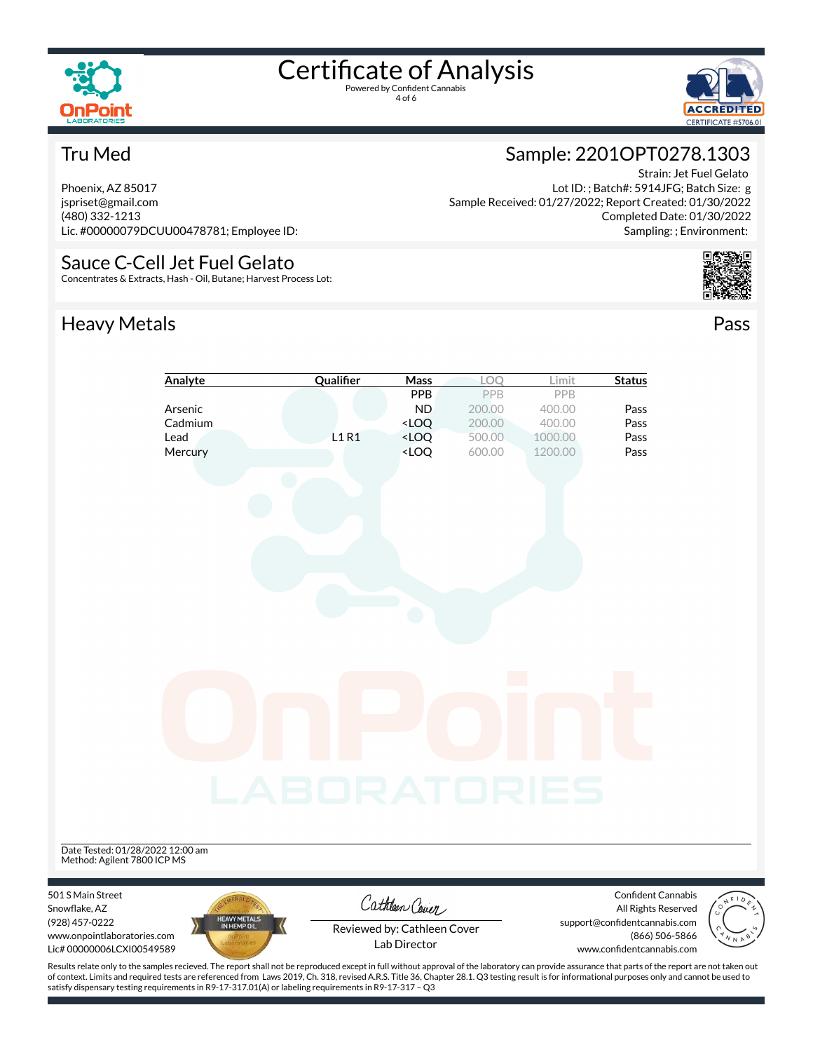

4 of 6



#### Tru Med

Phoenix, AZ 85017 jspriset@gmail.com (480) 332-1213 Lic. #00000079DCUU00478781; Employee ID:

#### Sauce C-Cell Jet Fuel Gelato

Concentrates & Extracts, Hash - Oil, Butane; Harvest Process Lot:

## Heavy Metals **Pass**

#### Sample: 2201OPT0278.1303 Strain: Jet Fuel Gelato

Lot ID: ; Batch#: 5914JFG; Batch Size: g Sample Received: 01/27/2022; Report Created: 01/30/2022 Completed Date: 01/30/2022 Sampling: ; Environment:



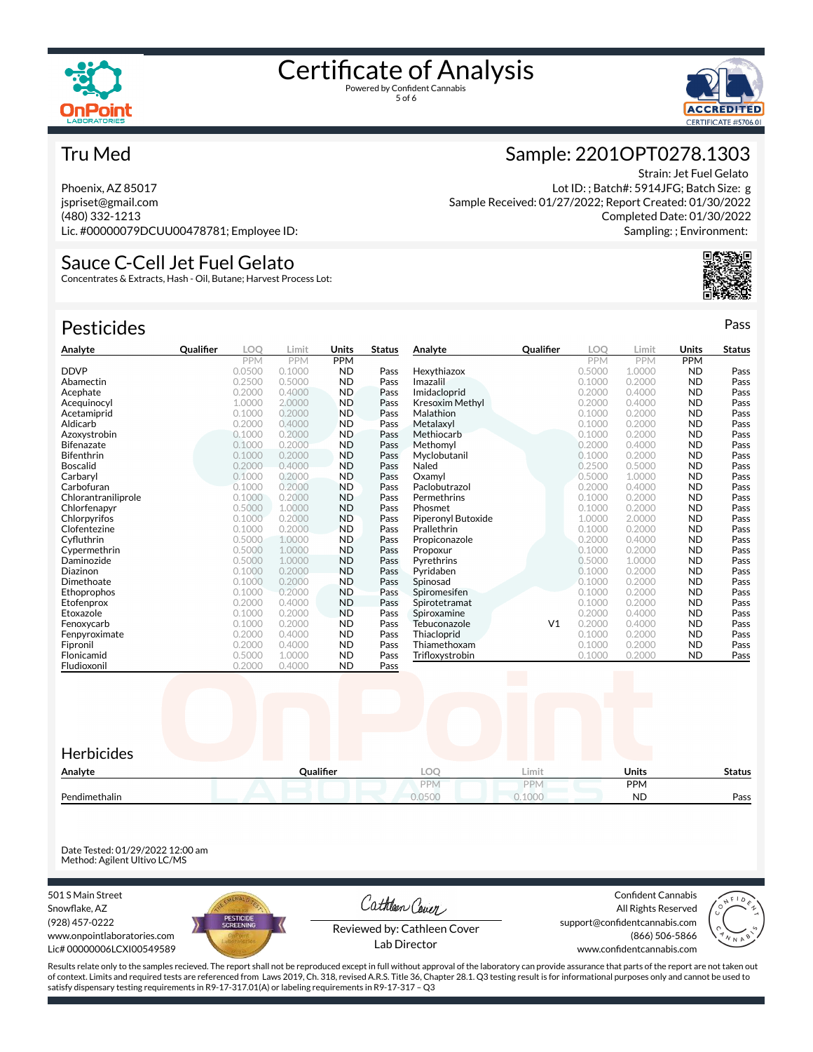



#### Tru Med

Phoenix, AZ 85017 jspriset@gmail.com (480) 332-1213 Lic. #00000079DCUU00478781; Employee ID:

#### Sauce C-Cell Jet Fuel Gelato

Concentrates & Extracts, Hash - Oil, Butane; Harvest Process Lot:

| <b>Pesticides</b>   |                  |            |            |            |               |                        |                |            |            |            | Pass          |
|---------------------|------------------|------------|------------|------------|---------------|------------------------|----------------|------------|------------|------------|---------------|
| Analyte             | <b>Qualifier</b> | <b>LOO</b> | Limit      | Units      | <b>Status</b> | Analyte                | Qualifier      | <b>LOO</b> | Limit      | Units      | <b>Status</b> |
|                     |                  | <b>PPM</b> | <b>PPM</b> | <b>PPM</b> |               |                        |                | <b>PPM</b> | <b>PPM</b> | <b>PPM</b> |               |
| <b>DDVP</b>         |                  | 0.0500     | 0.1000     | <b>ND</b>  | Pass          | Hexythiazox            |                | 0.5000     | 1.0000     | <b>ND</b>  | Pass          |
| Abamectin           |                  | 0.2500     | 0.5000     | <b>ND</b>  | Pass          | Imazalil               |                | 0.1000     | 0.2000     | <b>ND</b>  | Pass          |
| Acephate            |                  | 0.2000     | 0.4000     | <b>ND</b>  | Pass          | Imidacloprid           |                | 0.2000     | 0.4000     | <b>ND</b>  | Pass          |
| Acequinocyl         |                  | 1.0000     | 2.0000     | <b>ND</b>  | Pass          | <b>Kresoxim Methyl</b> |                | 0.2000     | 0.4000     | <b>ND</b>  | Pass          |
| Acetamiprid         |                  | 0.1000     | 0.2000     | <b>ND</b>  | Pass          | Malathion              |                | 0.1000     | 0.2000     | <b>ND</b>  | Pass          |
| Aldicarb            |                  | 0.2000     | 0.4000     | <b>ND</b>  | Pass          | Metalaxyl              |                | 0.1000     | 0.2000     | <b>ND</b>  | Pass          |
| Azoxystrobin        |                  | 0.1000     | 0.2000     | <b>ND</b>  | Pass          | Methiocarb             |                | 0.1000     | 0.2000     | <b>ND</b>  | Pass          |
| Bifenazate          |                  | 0.1000     | 0.2000     | <b>ND</b>  | Pass          | Methomyl               |                | 0.2000     | 0.4000     | <b>ND</b>  | Pass          |
| <b>Bifenthrin</b>   |                  | 0.1000     | 0.2000     | <b>ND</b>  | Pass          | Myclobutanil           |                | 0.1000     | 0.2000     | <b>ND</b>  | Pass          |
| <b>Boscalid</b>     |                  | 0.2000     | 0.4000     | <b>ND</b>  | Pass          | Naled                  |                | 0.2500     | 0.5000     | <b>ND</b>  | Pass          |
| Carbaryl            |                  | 0.1000     | 0.2000     | <b>ND</b>  | Pass          | Oxamvl                 |                | 0.5000     | 1.0000     | <b>ND</b>  | Pass          |
| Carbofuran          |                  | 0.1000     | 0.2000     | <b>ND</b>  | Pass          | Paclobutrazol          |                | 0.2000     | 0.4000     | <b>ND</b>  | Pass          |
| Chlorantraniliprole |                  | 0.1000     | 0.2000     | <b>ND</b>  | Pass          | Permethrins            |                | 0.1000     | 0.2000     | <b>ND</b>  | Pass          |
| Chlorfenapyr        |                  | 0.5000     | 1.0000     | <b>ND</b>  | Pass          | Phosmet                |                | 0.1000     | 0.2000     | <b>ND</b>  | Pass          |
| Chlorpyrifos        |                  | 0.1000     | 0.2000     | <b>ND</b>  | Pass          | Piperonyl Butoxide     |                | 1.0000     | 2.0000     | <b>ND</b>  | Pass          |
| Clofentezine        |                  | 0.1000     | 0.2000     | <b>ND</b>  | Pass          | Prallethrin            |                | 0.1000     | 0.2000     | <b>ND</b>  | Pass          |
| Cyfluthrin          |                  | 0.5000     | 1.0000     | <b>ND</b>  | Pass          | Propiconazole          |                | 0.2000     | 0.4000     | <b>ND</b>  | Pass          |
| Cypermethrin        |                  | 0.5000     | 1.0000     | <b>ND</b>  | Pass          | Propoxur               |                | 0.1000     | 0.2000     | <b>ND</b>  | Pass          |
| Daminozide          |                  | 0.5000     | 1.0000     | <b>ND</b>  | Pass          | Pyrethrins             |                | 0.5000     | 1.0000     | <b>ND</b>  | Pass          |
| Diazinon            |                  | 0.1000     | 0.2000     | <b>ND</b>  | Pass          | Pyridaben              |                | 0.1000     | 0.2000     | <b>ND</b>  | Pass          |
| Dimethoate          |                  | 0.1000     | 0.2000     | <b>ND</b>  | Pass          | Spinosad               |                | 0.1000     | 0.2000     | <b>ND</b>  | Pass          |
| Ethoprophos         |                  | 0.1000     | 0.2000     | <b>ND</b>  | Pass          | Spiromesifen           |                | 0.1000     | 0.2000     | <b>ND</b>  | Pass          |
| Etofenprox          |                  | 0.2000     | 0.4000     | <b>ND</b>  | Pass          | Spirotetramat          |                | 0.1000     | 0.2000     | <b>ND</b>  | Pass          |
| Etoxazole           |                  | 0.1000     | 0.2000     | <b>ND</b>  | Pass          | Spiroxamine            |                | 0.2000     | 0.4000     | <b>ND</b>  | Pass          |
| Fenoxycarb          |                  | 0.1000     | 0.2000     | <b>ND</b>  | Pass          | Tebuconazole           | V <sub>1</sub> | 0.2000     | 0.4000     | <b>ND</b>  | Pass          |
| Fenpyroximate       |                  | 0.2000     | 0.4000     | <b>ND</b>  | Pass          | Thiacloprid            |                | 0.1000     | 0.2000     | <b>ND</b>  | Pass          |
| Fipronil            |                  | 0.2000     | 0.4000     | <b>ND</b>  | Pass          | Thiamethoxam           |                | 0.1000     | 0.2000     | <b>ND</b>  | Pass          |
| Flonicamid          |                  | 0.5000     | 1.0000     | <b>ND</b>  | Pass          | Trifloxystrobin        |                | 0.1000     | 0.2000     | <b>ND</b>  | Pass          |
| Fludioxonil         |                  | 0.2000     | 0.4000     | <b>ND</b>  | Pass          |                        |                |            |            |            |               |



Date Tested: 01/29/2022 12:00 am Method: Agilent Ultivo LC/MS

501 S Main Street Snowflake, AZ (928) 457-0222 www.onpointlaboratories.com Lic# 00000006LCXI00549589



Cathleen Cover

Confident Cannabis All Rights Reserved support@confidentcannabis.com (866) 506-5866



Reviewed by: Cathleen Cover Lab Director

www.confidentcannabis.com

Results relate only to the samples recieved. The report shall not be reproduced except in full without approval of the laboratory can provide assurance that parts of the report are not taken out of context. Limits and required tests are referenced from Laws 2019, Ch. 318, revised A.R.S. Title 36, Chapter 28.1. Q3 testing result is for informational purposes only and cannot be used to satisfy dispensary testing requirements in R9-17-317.01(A) or labeling requirements in R9-17-317 – Q3

#### Sample: 2201OPT0278.1303

Strain: Jet Fuel Gelato Lot ID: ; Batch#: 5914JFG; Batch Size: g Sample Received: 01/27/2022; Report Created: 01/30/2022 Completed Date: 01/30/2022 Sampling: ; Environment: